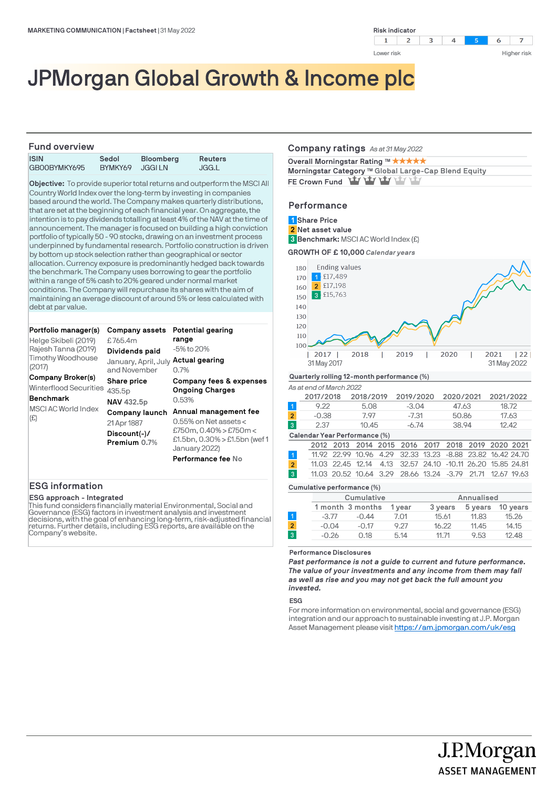

# JPMorgan Global Growth & Income plc

# **Fund overview**

| FUIJU OVEI VIEW |         |                  |         |
|-----------------|---------|------------------|---------|
| <b>ISIN</b>     | Sedol   | <b>Bloomberg</b> | Reuters |
| GB00BYMKY695    | BYMKY69 | JGGI LN          | JGG.L   |

**Objective:** To provide superior total returns and outperform the MSCI All Country World Index over the long-term by investing in companies based around the world. The Company makes quarterly distributions, that are set at the beginning of each financial year. On aggregate, the intention is to pay dividends totalling at least 4% of the NAV at the time of announcement. The manager is focused on building a high conviction portfolio of typically 50 - 90 stocks, drawing on an investment process underpinned by fundamental research. Portfolio construction is driven by bottom up stock selection rather than geographical or sector allocation. Currency exposure is predominantly hedged back towards the benchmark. The Company uses borrowing to gear the portfolio within a range of 5% cash to 20% geared under normal market conditions. The Company will repurchase its shares with the aim of maintaining an average discount of around 5% or less calculated with debt at par value.

| Portfolio manager(s)                        | Company assets                       | Potential gearing                                                              |
|---------------------------------------------|--------------------------------------|--------------------------------------------------------------------------------|
| Helge Skibeli (2019)                        | £765.4m                              | range                                                                          |
| Rajesh Tanna (2019)                         | Dividends paid                       | -5% to 20%                                                                     |
| Timothy Woodhouse<br>(2017)                 | January, April, July<br>and November | Actual gearing<br>0.7%                                                         |
| Company Broker(s)<br>Winterflood Securities | Share price<br>435.5p                | Company fees & expenses<br><b>Ongoing Charges</b>                              |
| <b>Benchmark</b>                            | <b>NAV 432.5p</b>                    | 0.53%                                                                          |
| MSCI AC World Index<br>(E)                  | Company launch                       | Annual management fee                                                          |
|                                             | 21 Apr 1887                          | $0.55\%$ on Net assets $<$                                                     |
|                                             | Discount(-)/<br>Premium 0.7%         | £750m, $0.40\%$ > £750m <<br>£1.5bn, $0.30\%$ > £1.5bn (wef 1<br>January 2022) |
|                                             |                                      | Performance fee No                                                             |

# **ESG information**

## **ESG approach - Integrated**

This fund considers financially material Environmental, Social and Governance (ESG) factors in investment analysis and investment decisions, with the goal of enhancing long-term, risk-adjusted financial<br>returns. Further details, including ESG reports, are available on the Company's website.

#### **Company ratings** *As at 31 May 2022*

| Overall Morningstar Rating ™ ★★★★★                   |  |  |  |  |  |
|------------------------------------------------------|--|--|--|--|--|
| Morningstar Category ™ Global Large-Cap Blend Equity |  |  |  |  |  |
| FE Crown Fund Yay Yay Yay Yay Yay                    |  |  |  |  |  |

# **Performance**

| 3 Benchmark: MSCI AC World Index (£)<br>GROWTH OF £10,000 Calendar years |    |
|--------------------------------------------------------------------------|----|
| <b>Ending values</b><br>180                                              |    |
| £17,489<br>170                                                           |    |
| £17,198<br>2<br>160                                                      |    |
| £15,763<br>3<br>150                                                      |    |
| 140                                                                      |    |
| 130                                                                      |    |
| 120                                                                      |    |
| 110                                                                      |    |
| 100                                                                      |    |
| 2019<br>2018<br>2020<br>2021<br>2017<br>31 May 2017<br>31 May 2022       | 22 |

# **Quarterly rolling 12-month performance (%)**

*As at end of March 2022*

|                | 2017/2018 | 2018/2019 | 2019/2020 | 2020/2021 | 2021/2022 |
|----------------|-----------|-----------|-----------|-----------|-----------|
|                | 9.22      | 5.08      | $-3.04$   | 47.63     | 18.72     |
| $\overline{2}$ | -0.38     | 797       | -7.31     | 50.86     | 17.63     |
| 3              | 2.37      | 10.45     | -6.74     | 38.94     | 12.42     |
|                |           |           |           |           |           |

### **Calendar Year Performance (%)**

|  | 2012 2013 2014 2015 2016 2017 2018 2019 2020 2021           |  |  |  |  |
|--|-------------------------------------------------------------|--|--|--|--|
|  | 11.92 22.99 10.96 4.29 32.33 13.23 -8.88 23.82 16.42 24.70  |  |  |  |  |
|  | 11.03 22.45 12.14 4.13 32.57 24.10 -10.11 26.20 15.85 24.81 |  |  |  |  |
|  | 11.03 20.52 10.64 3.29 28.66 13.24 -3.79 21.71 12.67 19.63  |  |  |  |  |
|  |                                                             |  |  |  |  |

#### **Cumulative performance (%)**

|                |         | Cumulative       |        |         | Annualised |          |
|----------------|---------|------------------|--------|---------|------------|----------|
|                |         | 1 month 3 months | 1 vear | 3 years | 5 years    | 10 years |
|                | $-3.77$ | $-0.44$          | 7.01   | 15.61   | 11.83      | 15.26    |
| $\overline{2}$ | $-0.04$ | $-0.17$          | 9.27   | 16.22   | 11.45      | 14.15    |
| 3              | $-0.26$ | 0.18             | 5.14   | 11.71   | 9.53       | 12.48    |
|                |         |                  |        |         |            |          |

#### **Performance Disclosures**

*Past performance is not a guide to current and future performance. The value of your investments and any income from them may fall as well as rise and you may not get back the full amount you invested.* 

#### **ESG**

For more information on environmental, social and governance (ESG) integration and our approach to sustainable investing at J.P. Morgan Asset Management please visit https://am.jpmorgan.com/uk/esg

> J.P.Morgan **ASSET MANAGEMENT**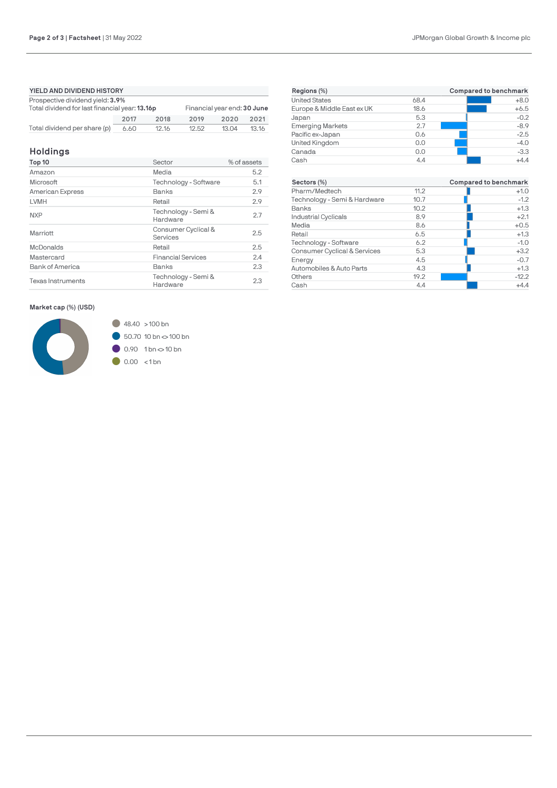| YIELD AND DIVIDEND HISTORY                     |      |       |                             |       |       |
|------------------------------------------------|------|-------|-----------------------------|-------|-------|
| Prospective dividend yield: 3.9%               |      |       |                             |       |       |
| Total dividend for last financial year: 13.16p |      |       | Financial year end: 30 June |       |       |
|                                                | 2017 | 2018  | 2019                        | 2020  | 2021  |
| Total dividend per share (p)                   | 6.60 | 12.16 | 12.52                       | 13.04 | 13.16 |

# **Holdings**

| Top 10                   | Sector                          | % of assets |
|--------------------------|---------------------------------|-------------|
| Amazon                   | Media                           | 5.2         |
| Microsoft                | Technology - Software           | 5.1         |
| American Express         | Banks                           | 2.9         |
| LVMH                     | Retail                          | 2.9         |
| <b>NXP</b>               | Technology - Semi &<br>Hardware | 2.7         |
| Marriott                 | Consumer Cyclical &<br>Services | 2.5         |
| <b>McDonalds</b>         | Retail                          | 2.5         |
| Mastercard               | <b>Financial Services</b>       | 2.4         |
| <b>Bank of America</b>   | Banks                           | 2.3         |
| <b>Texas Instruments</b> | Technology - Semi &<br>Hardware | 2.3         |

**Market cap (%) (USD)**



 $\bigcirc$  48.40 > 100 bn  $60.7010 \text{ bn}$   $\sim$  100 bn  $0.90$  1 bn  $\sim$  10 bn  $\bigcirc$  0.00 <1bn

| Regions (%)                  |      | Compared to benchmark        |
|------------------------------|------|------------------------------|
| <b>United States</b>         | 68.4 | $+8.0$                       |
| Europe & Middle East ex UK   | 18.6 | $+6.5$                       |
| Japan                        | 5.3  | $-0.2$                       |
| <b>Emerging Markets</b>      | 2.7  | $-8.9$                       |
| Pacific ex-Japan             | 0.6  | $-2.5$                       |
| United Kingdom               | 0.0  | $-4.0$                       |
| Canada                       | 0.0  | $-3.3$                       |
| Cash                         | 4.4  | $+4.4$                       |
|                              |      |                              |
| Sectors (%)                  |      | <b>Compared to benchmark</b> |
| Pharm/Medtech                | 11.2 | $+1.0$                       |
| Technology - Semi & Hardware | 10.7 | $-1.2$                       |
| Banks                        | 10.2 | $+1.3$                       |
| <b>Industrial Cyclicals</b>  | 8.9  | $+2.1$                       |
| Media                        | 8.6  | $+0.5$                       |
| Retail                       | 6.5  | $+1.3$                       |
| Technology - Software        | 6.2  | $-1.0$                       |
| Consumer Cyclical & Services | 5.3  | $+3.2$                       |
| Energy                       | 4.5  | $-0.7$                       |
| Automobiles & Auto Parts     | 4.3  | $+1.3$                       |
| Others                       | 19.2 | $-12.2$                      |
| Cash                         | 4.4  | $+4.4$                       |